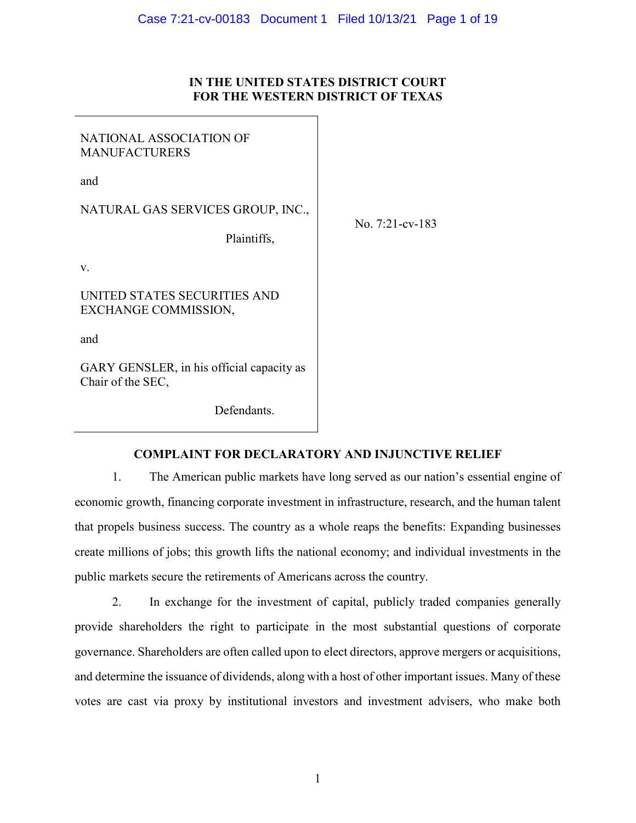## **IN THE UNITED STATES DISTRICT COURT FOR THE WESTERN DISTRICT OF TEXAS**

| NATIONAL ASSOCIATION OF<br><b>MANUFACTURERS</b>                |                    |
|----------------------------------------------------------------|--------------------|
| and                                                            |                    |
| NATURAL GAS SERVICES GROUP, INC.,                              |                    |
| Plaintiffs,                                                    | No. $7:21$ -cv-183 |
| V.                                                             |                    |
| UNITED STATES SECURITIES AND<br>EXCHANGE COMMISSION,           |                    |
| and                                                            |                    |
| GARY GENSLER, in his official capacity as<br>Chair of the SEC, |                    |

Defendants.

## **COMPLAINT FOR DECLARATORY AND INJUNCTIVE RELIEF**

1. The American public markets have long served as our nation's essential engine of economic growth, financing corporate investment in infrastructure, research, and the human talent that propels business success. The country as a whole reaps the benefits: Expanding businesses create millions of jobs; this growth lifts the national economy; and individual investments in the public markets secure the retirements of Americans across the country.

2. In exchange for the investment of capital, publicly traded companies generally provide shareholders the right to participate in the most substantial questions of corporate governance. Shareholders are often called upon to elect directors, approve mergers or acquisitions, and determine the issuance of dividends, along with a host of other important issues. Many of these votes are cast via proxy by institutional investors and investment advisers, who make both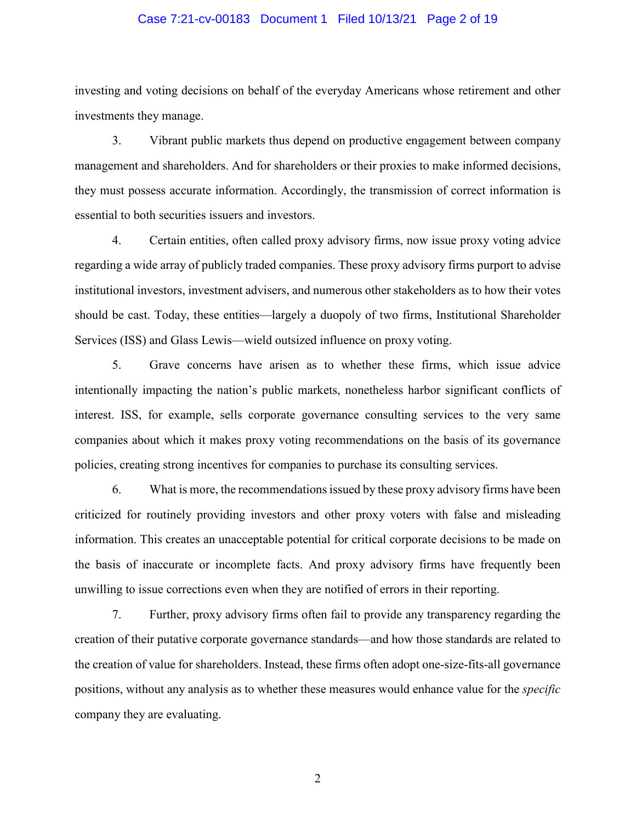#### Case 7:21-cv-00183 Document 1 Filed 10/13/21 Page 2 of 19

investing and voting decisions on behalf of the everyday Americans whose retirement and other investments they manage.

3. Vibrant public markets thus depend on productive engagement between company management and shareholders. And for shareholders or their proxies to make informed decisions, they must possess accurate information. Accordingly, the transmission of correct information is essential to both securities issuers and investors.

4. Certain entities, often called proxy advisory firms, now issue proxy voting advice regarding a wide array of publicly traded companies. These proxy advisory firms purport to advise institutional investors, investment advisers, and numerous other stakeholders as to how their votes should be cast. Today, these entities—largely a duopoly of two firms, Institutional Shareholder Services (ISS) and Glass Lewis—wield outsized influence on proxy voting.

5. Grave concerns have arisen as to whether these firms, which issue advice intentionally impacting the nation's public markets, nonetheless harbor significant conflicts of interest. ISS, for example, sells corporate governance consulting services to the very same companies about which it makes proxy voting recommendations on the basis of its governance policies, creating strong incentives for companies to purchase its consulting services.

6. What is more, the recommendations issued by these proxy advisory firms have been criticized for routinely providing investors and other proxy voters with false and misleading information. This creates an unacceptable potential for critical corporate decisions to be made on the basis of inaccurate or incomplete facts. And proxy advisory firms have frequently been unwilling to issue corrections even when they are notified of errors in their reporting.

7. Further, proxy advisory firms often fail to provide any transparency regarding the creation of their putative corporate governance standards—and how those standards are related to the creation of value for shareholders. Instead, these firms often adopt one-size-fits-all governance positions, without any analysis as to whether these measures would enhance value for the *specific* company they are evaluating.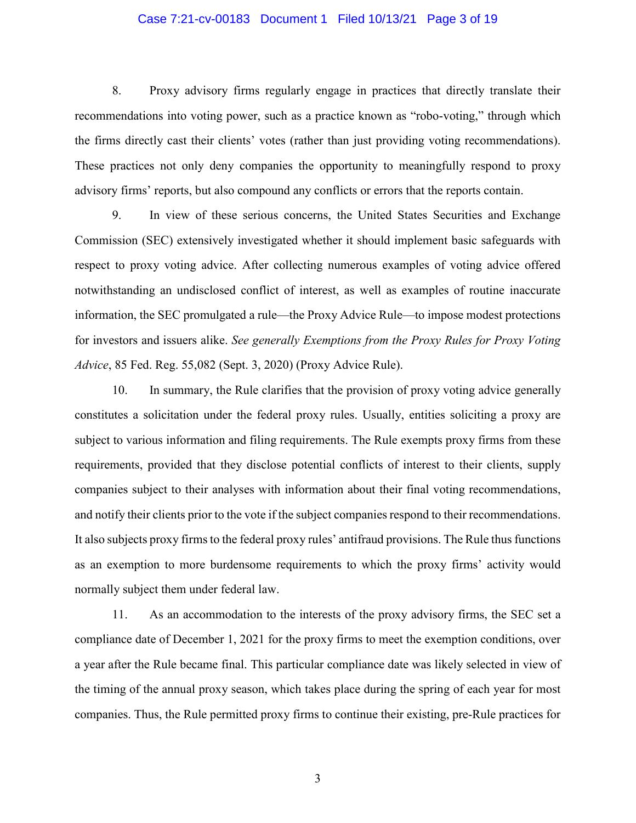#### Case 7:21-cv-00183 Document 1 Filed 10/13/21 Page 3 of 19

8. Proxy advisory firms regularly engage in practices that directly translate their recommendations into voting power, such as a practice known as "robo-voting," through which the firms directly cast their clients' votes (rather than just providing voting recommendations). These practices not only deny companies the opportunity to meaningfully respond to proxy advisory firms' reports, but also compound any conflicts or errors that the reports contain.

9. In view of these serious concerns, the United States Securities and Exchange Commission (SEC) extensively investigated whether it should implement basic safeguards with respect to proxy voting advice. After collecting numerous examples of voting advice offered notwithstanding an undisclosed conflict of interest, as well as examples of routine inaccurate information, the SEC promulgated a rule—the Proxy Advice Rule—to impose modest protections for investors and issuers alike. *See generally Exemptions from the Proxy Rules for Proxy Voting Advice*, 85 Fed. Reg. 55,082 (Sept. 3, 2020) (Proxy Advice Rule).

10. In summary, the Rule clarifies that the provision of proxy voting advice generally constitutes a solicitation under the federal proxy rules. Usually, entities soliciting a proxy are subject to various information and filing requirements. The Rule exempts proxy firms from these requirements, provided that they disclose potential conflicts of interest to their clients, supply companies subject to their analyses with information about their final voting recommendations, and notify their clients prior to the vote if the subject companies respond to their recommendations. It also subjects proxy firms to the federal proxy rules' antifraud provisions. The Rule thus functions as an exemption to more burdensome requirements to which the proxy firms' activity would normally subject them under federal law.

11. As an accommodation to the interests of the proxy advisory firms, the SEC set a compliance date of December 1, 2021 for the proxy firms to meet the exemption conditions, over a year after the Rule became final. This particular compliance date was likely selected in view of the timing of the annual proxy season, which takes place during the spring of each year for most companies. Thus, the Rule permitted proxy firms to continue their existing, pre-Rule practices for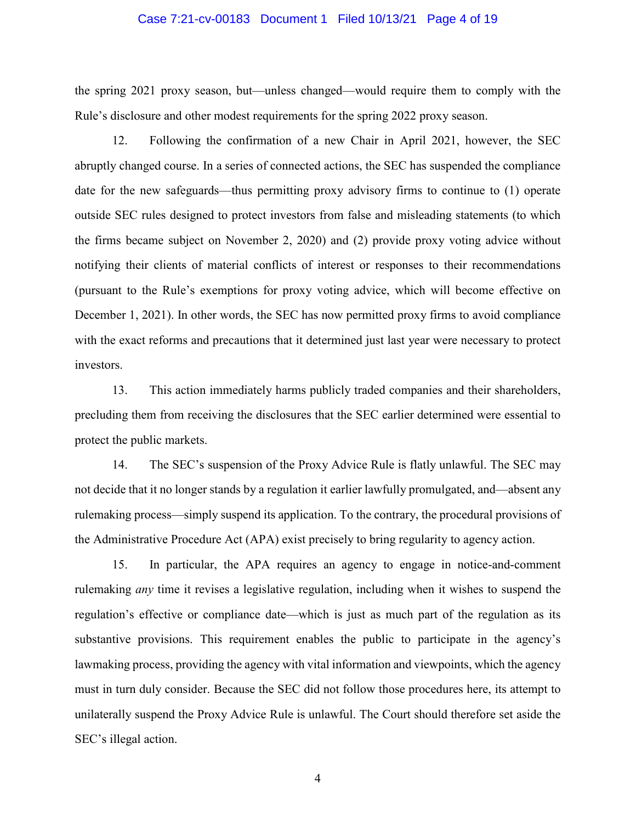#### Case 7:21-cv-00183 Document 1 Filed 10/13/21 Page 4 of 19

the spring 2021 proxy season, but—unless changed—would require them to comply with the Rule's disclosure and other modest requirements for the spring 2022 proxy season.

12. Following the confirmation of a new Chair in April 2021, however, the SEC abruptly changed course. In a series of connected actions, the SEC has suspended the compliance date for the new safeguards—thus permitting proxy advisory firms to continue to (1) operate outside SEC rules designed to protect investors from false and misleading statements (to which the firms became subject on November 2, 2020) and (2) provide proxy voting advice without notifying their clients of material conflicts of interest or responses to their recommendations (pursuant to the Rule's exemptions for proxy voting advice, which will become effective on December 1, 2021). In other words, the SEC has now permitted proxy firms to avoid compliance with the exact reforms and precautions that it determined just last year were necessary to protect investors.

13. This action immediately harms publicly traded companies and their shareholders, precluding them from receiving the disclosures that the SEC earlier determined were essential to protect the public markets.

14. The SEC's suspension of the Proxy Advice Rule is flatly unlawful. The SEC may not decide that it no longer stands by a regulation it earlier lawfully promulgated, and—absent any rulemaking process—simply suspend its application. To the contrary, the procedural provisions of the Administrative Procedure Act (APA) exist precisely to bring regularity to agency action.

15. In particular, the APA requires an agency to engage in notice-and-comment rulemaking *any* time it revises a legislative regulation, including when it wishes to suspend the regulation's effective or compliance date—which is just as much part of the regulation as its substantive provisions. This requirement enables the public to participate in the agency's lawmaking process, providing the agency with vital information and viewpoints, which the agency must in turn duly consider. Because the SEC did not follow those procedures here, its attempt to unilaterally suspend the Proxy Advice Rule is unlawful. The Court should therefore set aside the SEC's illegal action.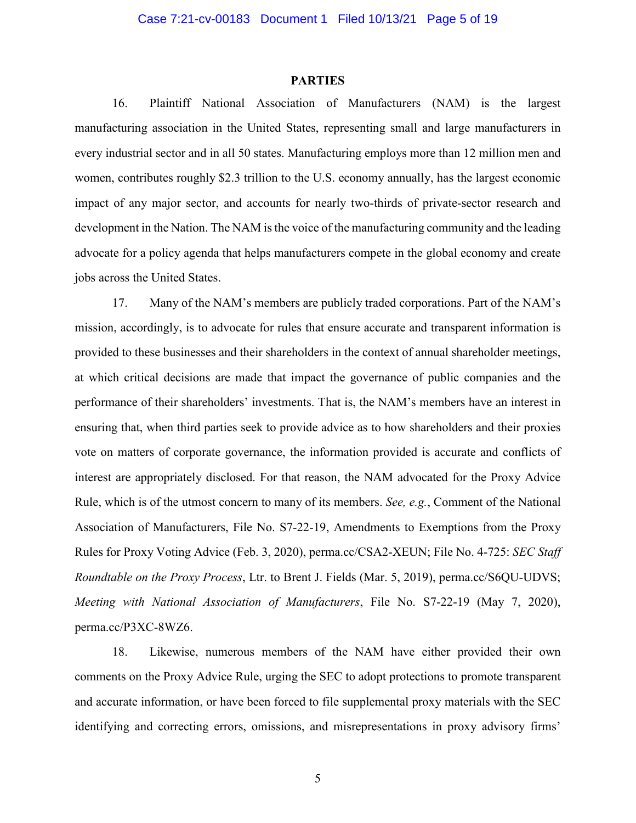#### **PARTIES**

16. Plaintiff National Association of Manufacturers (NAM) is the largest manufacturing association in the United States, representing small and large manufacturers in every industrial sector and in all 50 states. Manufacturing employs more than 12 million men and women, contributes roughly \$2.3 trillion to the U.S. economy annually, has the largest economic impact of any major sector, and accounts for nearly two-thirds of private-sector research and development in the Nation. The NAM is the voice of the manufacturing community and the leading advocate for a policy agenda that helps manufacturers compete in the global economy and create jobs across the United States.

17. Many of the NAM's members are publicly traded corporations. Part of the NAM's mission, accordingly, is to advocate for rules that ensure accurate and transparent information is provided to these businesses and their shareholders in the context of annual shareholder meetings, at which critical decisions are made that impact the governance of public companies and the performance of their shareholders' investments. That is, the NAM's members have an interest in ensuring that, when third parties seek to provide advice as to how shareholders and their proxies vote on matters of corporate governance, the information provided is accurate and conflicts of interest are appropriately disclosed. For that reason, the NAM advocated for the Proxy Advice Rule, which is of the utmost concern to many of its members. *See, e.g.*, Comment of the National Association of Manufacturers, File No. S7-22-19, Amendments to Exemptions from the Proxy Rules for Proxy Voting Advice (Feb. 3, 2020), perma.cc/CSA2-XEUN; File No. 4-725: *SEC Staff Roundtable on the Proxy Process*, Ltr. to Brent J. Fields (Mar. 5, 2019), perma.cc/S6QU-UDVS; *Meeting with National Association of Manufacturers*, File No. S7-22-19 (May 7, 2020), perma.cc/P3XC-8WZ6.

18. Likewise, numerous members of the NAM have either provided their own comments on the Proxy Advice Rule, urging the SEC to adopt protections to promote transparent and accurate information, or have been forced to file supplemental proxy materials with the SEC identifying and correcting errors, omissions, and misrepresentations in proxy advisory firms'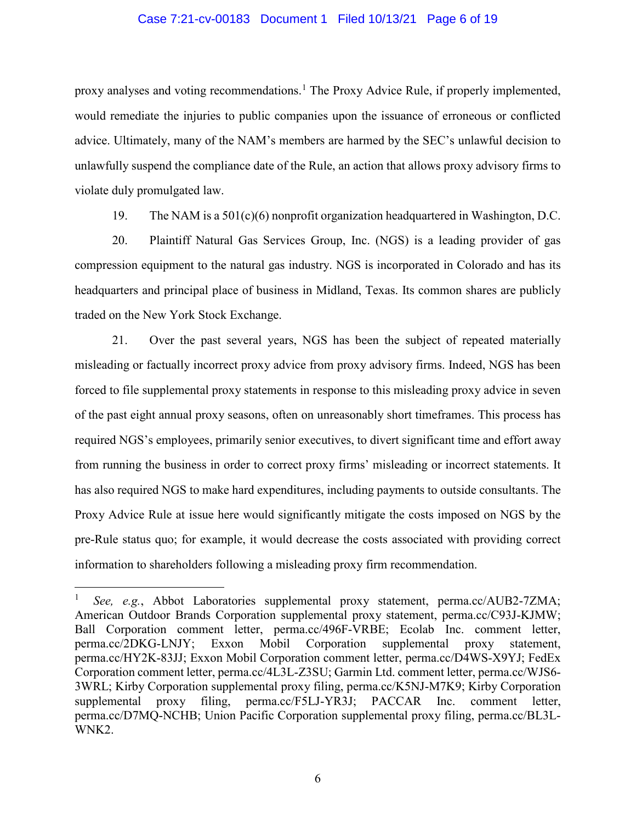#### Case 7:21-cv-00183 Document 1 Filed 10/13/21 Page 6 of 19

proxy analyses and voting recommendations.<sup>1</sup> The Proxy Advice Rule, if properly implemented, would remediate the injuries to public companies upon the issuance of erroneous or conflicted advice. Ultimately, many of the NAM's members are harmed by the SEC's unlawful decision to unlawfully suspend the compliance date of the Rule, an action that allows proxy advisory firms to violate duly promulgated law.

19. The NAM is a 501(c)(6) nonprofit organization headquartered in Washington, D.C.

20. Plaintiff Natural Gas Services Group, Inc. (NGS) is a leading provider of gas compression equipment to the natural gas industry. NGS is incorporated in Colorado and has its headquarters and principal place of business in Midland, Texas. Its common shares are publicly traded on the New York Stock Exchange.

21. Over the past several years, NGS has been the subject of repeated materially misleading or factually incorrect proxy advice from proxy advisory firms. Indeed, NGS has been forced to file supplemental proxy statements in response to this misleading proxy advice in seven of the past eight annual proxy seasons, often on unreasonably short timeframes. This process has required NGS's employees, primarily senior executives, to divert significant time and effort away from running the business in order to correct proxy firms' misleading or incorrect statements. It has also required NGS to make hard expenditures, including payments to outside consultants. The Proxy Advice Rule at issue here would significantly mitigate the costs imposed on NGS by the pre-Rule status quo; for example, it would decrease the costs associated with providing correct information to shareholders following a misleading proxy firm recommendation.

 <sup>1</sup> *See, e.g.*, Abbot Laboratories supplemental proxy statement, perma.cc/AUB2-7ZMA; American Outdoor Brands Corporation supplemental proxy statement, perma.cc/C93J-KJMW; Ball Corporation comment letter, perma.cc/496F-VRBE; Ecolab Inc. comment letter, perma.cc/2DKG-LNJY; Exxon Mobil Corporation supplemental proxy statement, perma.cc/HY2K-83JJ; Exxon Mobil Corporation comment letter, perma.cc/D4WS-X9YJ; FedEx Corporation comment letter, perma.cc/4L3L-Z3SU; Garmin Ltd. comment letter, perma.cc/WJS6- 3WRL; Kirby Corporation supplemental proxy filing, perma.cc/K5NJ-M7K9; Kirby Corporation supplemental proxy filing, perma.cc/F5LJ-YR3J; PACCAR Inc. comment letter, perma.cc/D7MQ-NCHB; Union Pacific Corporation supplemental proxy filing, perma.cc/BL3L-WNK2.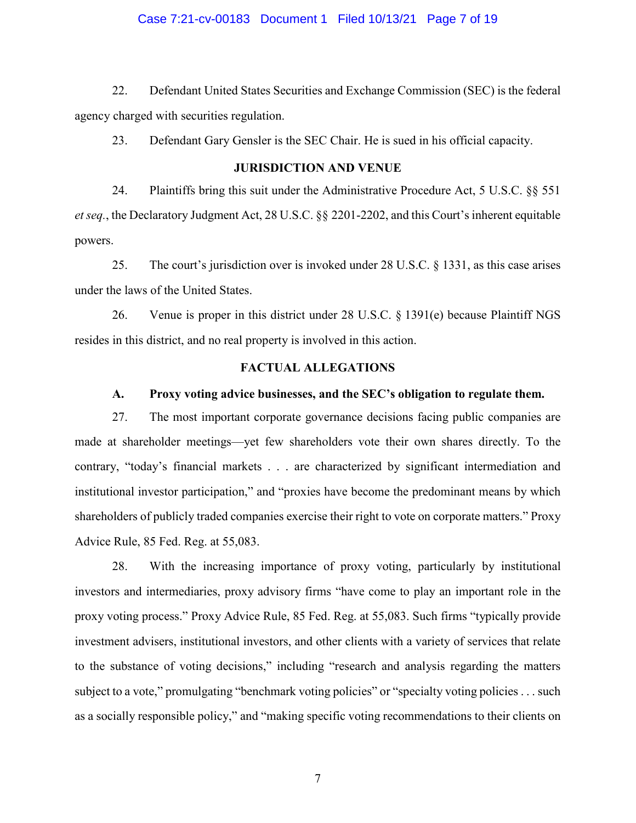#### Case 7:21-cv-00183 Document 1 Filed 10/13/21 Page 7 of 19

22. Defendant United States Securities and Exchange Commission (SEC) is the federal agency charged with securities regulation.

23. Defendant Gary Gensler is the SEC Chair. He is sued in his official capacity.

## **JURISDICTION AND VENUE**

24. Plaintiffs bring this suit under the Administrative Procedure Act, 5 U.S.C. §§ 551 *et seq.*, the Declaratory Judgment Act, 28 U.S.C. §§ 2201-2202, and this Court's inherent equitable powers.

25. The court's jurisdiction over is invoked under 28 U.S.C. § 1331, as this case arises under the laws of the United States.

26. Venue is proper in this district under 28 U.S.C. § 1391(e) because Plaintiff NGS resides in this district, and no real property is involved in this action.

## **FACTUAL ALLEGATIONS**

## **A. Proxy voting advice businesses, and the SEC's obligation to regulate them.**

27. The most important corporate governance decisions facing public companies are made at shareholder meetings—yet few shareholders vote their own shares directly. To the contrary, "today's financial markets . . . are characterized by significant intermediation and institutional investor participation," and "proxies have become the predominant means by which shareholders of publicly traded companies exercise their right to vote on corporate matters." Proxy Advice Rule, 85 Fed. Reg. at 55,083.

28. With the increasing importance of proxy voting, particularly by institutional investors and intermediaries, proxy advisory firms "have come to play an important role in the proxy voting process." Proxy Advice Rule, 85 Fed. Reg. at 55,083. Such firms "typically provide investment advisers, institutional investors, and other clients with a variety of services that relate to the substance of voting decisions," including "research and analysis regarding the matters subject to a vote," promulgating "benchmark voting policies" or "specialty voting policies . . . such as a socially responsible policy," and "making specific voting recommendations to their clients on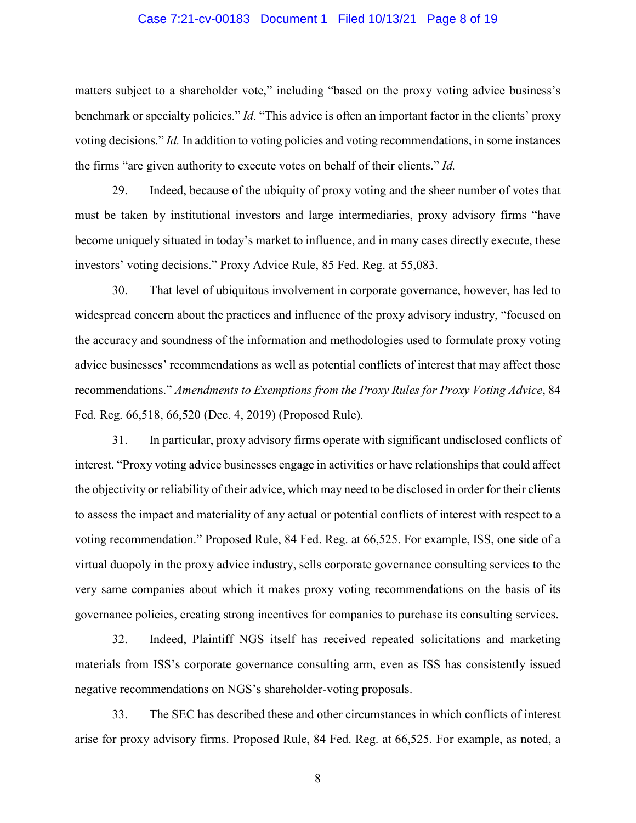#### Case 7:21-cv-00183 Document 1 Filed 10/13/21 Page 8 of 19

matters subject to a shareholder vote," including "based on the proxy voting advice business's benchmark or specialty policies." *Id.* "This advice is often an important factor in the clients' proxy voting decisions." *Id.* In addition to voting policies and voting recommendations, in some instances the firms "are given authority to execute votes on behalf of their clients." *Id.*

29. Indeed, because of the ubiquity of proxy voting and the sheer number of votes that must be taken by institutional investors and large intermediaries, proxy advisory firms "have become uniquely situated in today's market to influence, and in many cases directly execute, these investors' voting decisions." Proxy Advice Rule, 85 Fed. Reg. at 55,083.

30. That level of ubiquitous involvement in corporate governance, however, has led to widespread concern about the practices and influence of the proxy advisory industry, "focused on the accuracy and soundness of the information and methodologies used to formulate proxy voting advice businesses' recommendations as well as potential conflicts of interest that may affect those recommendations." *Amendments to Exemptions from the Proxy Rules for Proxy Voting Advice*, 84 Fed. Reg. 66,518, 66,520 (Dec. 4, 2019) (Proposed Rule).

31. In particular, proxy advisory firms operate with significant undisclosed conflicts of interest. "Proxy voting advice businesses engage in activities or have relationships that could affect the objectivity or reliability of their advice, which may need to be disclosed in order for their clients to assess the impact and materiality of any actual or potential conflicts of interest with respect to a voting recommendation." Proposed Rule, 84 Fed. Reg. at 66,525. For example, ISS, one side of a virtual duopoly in the proxy advice industry, sells corporate governance consulting services to the very same companies about which it makes proxy voting recommendations on the basis of its governance policies, creating strong incentives for companies to purchase its consulting services.

32. Indeed, Plaintiff NGS itself has received repeated solicitations and marketing materials from ISS's corporate governance consulting arm, even as ISS has consistently issued negative recommendations on NGS's shareholder-voting proposals.

33. The SEC has described these and other circumstances in which conflicts of interest arise for proxy advisory firms. Proposed Rule, 84 Fed. Reg. at 66,525. For example, as noted, a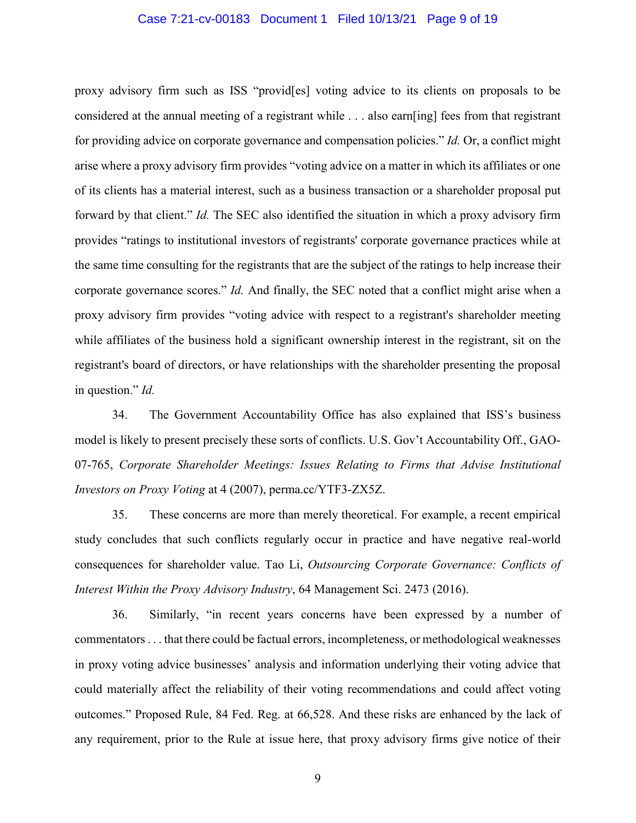#### Case 7:21-cv-00183 Document 1 Filed 10/13/21 Page 9 of 19

proxy advisory firm such as ISS "provid[es] voting advice to its clients on proposals to be considered at the annual meeting of a registrant while . . . also earn[ing] fees from that registrant for providing advice on corporate governance and compensation policies." *Id.* Or, a conflict might arise where a proxy advisory firm provides "voting advice on a matter in which its affiliates or one of its clients has a material interest, such as a business transaction or a shareholder proposal put forward by that client." *Id.* The SEC also identified the situation in which a proxy advisory firm provides "ratings to institutional investors of registrants' corporate governance practices while at the same time consulting for the registrants that are the subject of the ratings to help increase their corporate governance scores." *Id.* And finally, the SEC noted that a conflict might arise when a proxy advisory firm provides "voting advice with respect to a registrant's shareholder meeting while affiliates of the business hold a significant ownership interest in the registrant, sit on the registrant's board of directors, or have relationships with the shareholder presenting the proposal in question." *Id.*

34. The Government Accountability Office has also explained that ISS's business model is likely to present precisely these sorts of conflicts. U.S. Gov't Accountability Off., GAO-07-765, *Corporate Shareholder Meetings: Issues Relating to Firms that Advise Institutional Investors on Proxy Voting* at 4 (2007), perma.cc/YTF3-ZX5Z.

35. These concerns are more than merely theoretical. For example, a recent empirical study concludes that such conflicts regularly occur in practice and have negative real-world consequences for shareholder value. Tao Li, *Outsourcing Corporate Governance: Conflicts of Interest Within the Proxy Advisory Industry*, 64 Management Sci. 2473 (2016).

36. Similarly, "in recent years concerns have been expressed by a number of commentators . . . that there could be factual errors, incompleteness, or methodological weaknesses in proxy voting advice businesses' analysis and information underlying their voting advice that could materially affect the reliability of their voting recommendations and could affect voting outcomes." Proposed Rule, 84 Fed. Reg. at 66,528. And these risks are enhanced by the lack of any requirement, prior to the Rule at issue here, that proxy advisory firms give notice of their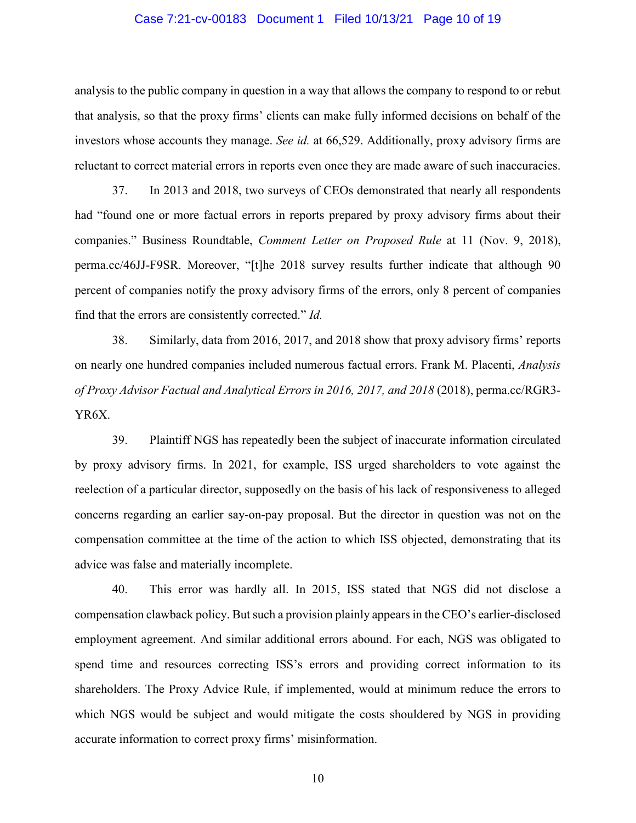#### Case 7:21-cv-00183 Document 1 Filed 10/13/21 Page 10 of 19

analysis to the public company in question in a way that allows the company to respond to or rebut that analysis, so that the proxy firms' clients can make fully informed decisions on behalf of the investors whose accounts they manage. *See id.* at 66,529. Additionally, proxy advisory firms are reluctant to correct material errors in reports even once they are made aware of such inaccuracies.

37. In 2013 and 2018, two surveys of CEOs demonstrated that nearly all respondents had "found one or more factual errors in reports prepared by proxy advisory firms about their companies." Business Roundtable, *Comment Letter on Proposed Rule* at 11 (Nov. 9, 2018), perma.cc/46JJ-F9SR. Moreover, "[t]he 2018 survey results further indicate that although 90 percent of companies notify the proxy advisory firms of the errors, only 8 percent of companies find that the errors are consistently corrected." *Id.*

38. Similarly, data from 2016, 2017, and 2018 show that proxy advisory firms' reports on nearly one hundred companies included numerous factual errors. Frank M. Placenti, *Analysis of Proxy Advisor Factual and Analytical Errors in 2016, 2017, and 2018* (2018), perma.cc/RGR3- YR6X.

39. Plaintiff NGS has repeatedly been the subject of inaccurate information circulated by proxy advisory firms. In 2021, for example, ISS urged shareholders to vote against the reelection of a particular director, supposedly on the basis of his lack of responsiveness to alleged concerns regarding an earlier say-on-pay proposal. But the director in question was not on the compensation committee at the time of the action to which ISS objected, demonstrating that its advice was false and materially incomplete.

40. This error was hardly all. In 2015, ISS stated that NGS did not disclose a compensation clawback policy. But such a provision plainly appears in the CEO's earlier-disclosed employment agreement. And similar additional errors abound. For each, NGS was obligated to spend time and resources correcting ISS's errors and providing correct information to its shareholders. The Proxy Advice Rule, if implemented, would at minimum reduce the errors to which NGS would be subject and would mitigate the costs shouldered by NGS in providing accurate information to correct proxy firms' misinformation.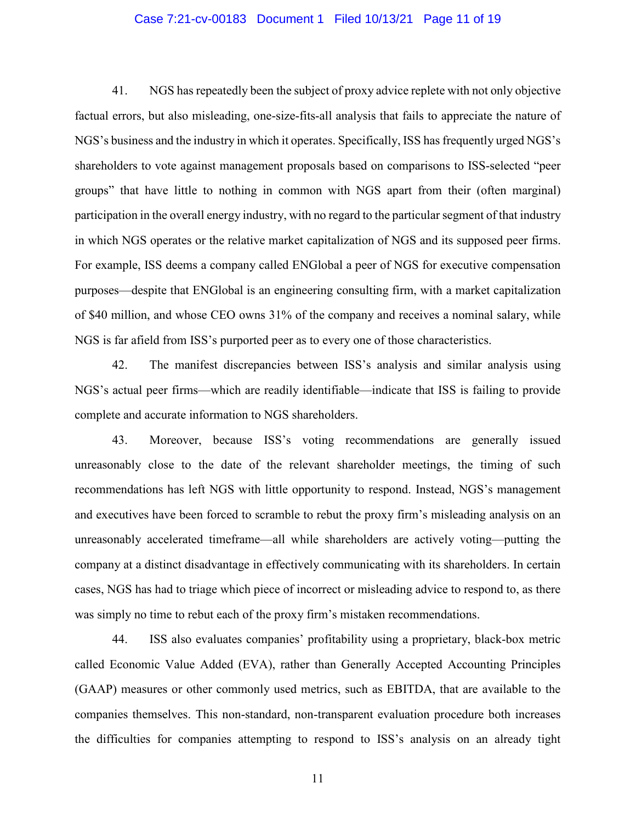#### Case 7:21-cv-00183 Document 1 Filed 10/13/21 Page 11 of 19

41. NGS has repeatedly been the subject of proxy advice replete with not only objective factual errors, but also misleading, one-size-fits-all analysis that fails to appreciate the nature of NGS's business and the industry in which it operates. Specifically, ISS has frequently urged NGS's shareholders to vote against management proposals based on comparisons to ISS-selected "peer groups" that have little to nothing in common with NGS apart from their (often marginal) participation in the overall energy industry, with no regard to the particular segment of that industry in which NGS operates or the relative market capitalization of NGS and its supposed peer firms. For example, ISS deems a company called ENGlobal a peer of NGS for executive compensation purposes—despite that ENGlobal is an engineering consulting firm, with a market capitalization of \$40 million, and whose CEO owns 31% of the company and receives a nominal salary, while NGS is far afield from ISS's purported peer as to every one of those characteristics.

42. The manifest discrepancies between ISS's analysis and similar analysis using NGS's actual peer firms—which are readily identifiable—indicate that ISS is failing to provide complete and accurate information to NGS shareholders.

43. Moreover, because ISS's voting recommendations are generally issued unreasonably close to the date of the relevant shareholder meetings, the timing of such recommendations has left NGS with little opportunity to respond. Instead, NGS's management and executives have been forced to scramble to rebut the proxy firm's misleading analysis on an unreasonably accelerated timeframe—all while shareholders are actively voting—putting the company at a distinct disadvantage in effectively communicating with its shareholders. In certain cases, NGS has had to triage which piece of incorrect or misleading advice to respond to, as there was simply no time to rebut each of the proxy firm's mistaken recommendations.

44. ISS also evaluates companies' profitability using a proprietary, black-box metric called Economic Value Added (EVA), rather than Generally Accepted Accounting Principles (GAAP) measures or other commonly used metrics, such as EBITDA, that are available to the companies themselves. This non-standard, non-transparent evaluation procedure both increases the difficulties for companies attempting to respond to ISS's analysis on an already tight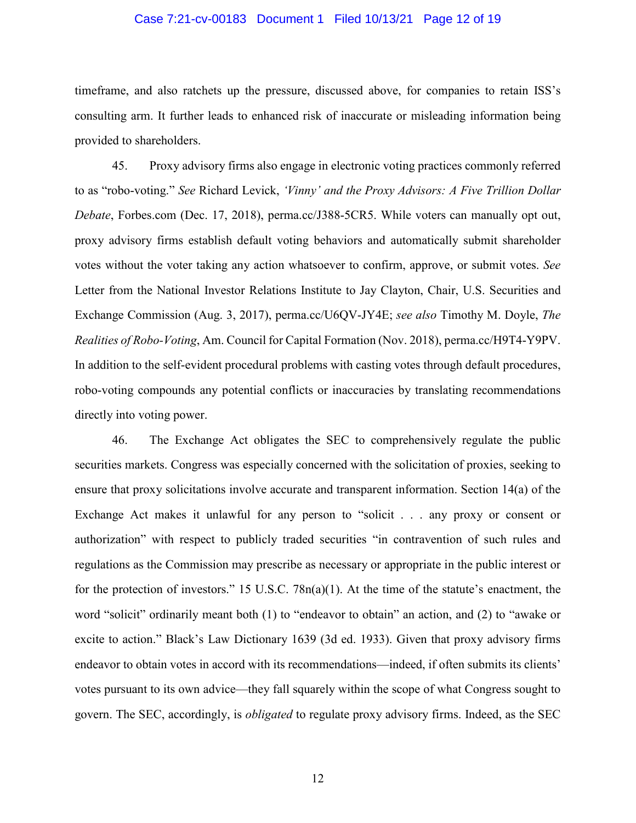### Case 7:21-cv-00183 Document 1 Filed 10/13/21 Page 12 of 19

timeframe, and also ratchets up the pressure, discussed above, for companies to retain ISS's consulting arm. It further leads to enhanced risk of inaccurate or misleading information being provided to shareholders.

45. Proxy advisory firms also engage in electronic voting practices commonly referred to as "robo-voting." *See* Richard Levick, *'Vinny' and the Proxy Advisors: A Five Trillion Dollar Debate*, Forbes.com (Dec. 17, 2018), perma.cc/J388-5CR5. While voters can manually opt out, proxy advisory firms establish default voting behaviors and automatically submit shareholder votes without the voter taking any action whatsoever to confirm, approve, or submit votes. *See*  Letter from the National Investor Relations Institute to Jay Clayton, Chair, U.S. Securities and Exchange Commission (Aug. 3, 2017), perma.cc/U6QV-JY4E; *see also* Timothy M. Doyle, *The Realities of Robo-Voting*, Am. Council for Capital Formation (Nov. 2018), perma.cc/H9T4-Y9PV. In addition to the self-evident procedural problems with casting votes through default procedures, robo-voting compounds any potential conflicts or inaccuracies by translating recommendations directly into voting power.

46. The Exchange Act obligates the SEC to comprehensively regulate the public securities markets. Congress was especially concerned with the solicitation of proxies, seeking to ensure that proxy solicitations involve accurate and transparent information. Section 14(a) of the Exchange Act makes it unlawful for any person to "solicit . . . any proxy or consent or authorization" with respect to publicly traded securities "in contravention of such rules and regulations as the Commission may prescribe as necessary or appropriate in the public interest or for the protection of investors." 15 U.S.C.  $78n(a)(1)$ . At the time of the statute's enactment, the word "solicit" ordinarily meant both (1) to "endeavor to obtain" an action, and (2) to "awake or excite to action." Black's Law Dictionary 1639 (3d ed. 1933). Given that proxy advisory firms endeavor to obtain votes in accord with its recommendations—indeed, if often submits its clients' votes pursuant to its own advice—they fall squarely within the scope of what Congress sought to govern. The SEC, accordingly, is *obligated* to regulate proxy advisory firms. Indeed, as the SEC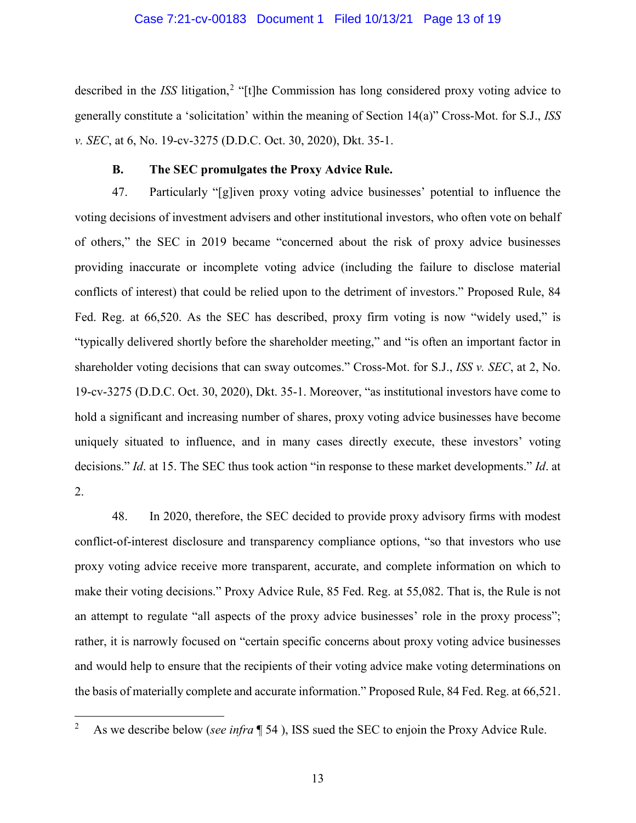### Case 7:21-cv-00183 Document 1 Filed 10/13/21 Page 13 of 19

described in the *ISS* litigation,<sup>2</sup> "[t]he Commission has long considered proxy voting advice to generally constitute a 'solicitation' within the meaning of Section 14(a)" Cross-Mot. for S.J., *ISS v. SEC*, at 6, No. 19-cv-3275 (D.D.C. Oct. 30, 2020), Dkt. 35-1.

## **B. The SEC promulgates the Proxy Advice Rule.**

47. Particularly "[g]iven proxy voting advice businesses' potential to influence the voting decisions of investment advisers and other institutional investors, who often vote on behalf of others," the SEC in 2019 became "concerned about the risk of proxy advice businesses providing inaccurate or incomplete voting advice (including the failure to disclose material conflicts of interest) that could be relied upon to the detriment of investors." Proposed Rule, 84 Fed. Reg. at 66,520. As the SEC has described, proxy firm voting is now "widely used," is "typically delivered shortly before the shareholder meeting," and "is often an important factor in shareholder voting decisions that can sway outcomes." Cross-Mot. for S.J., *ISS v. SEC*, at 2, No. 19-cv-3275 (D.D.C. Oct. 30, 2020), Dkt. 35-1. Moreover, "as institutional investors have come to hold a significant and increasing number of shares, proxy voting advice businesses have become uniquely situated to influence, and in many cases directly execute, these investors' voting decisions." *Id*. at 15. The SEC thus took action "in response to these market developments." *Id*. at 2.

48. In 2020, therefore, the SEC decided to provide proxy advisory firms with modest conflict-of-interest disclosure and transparency compliance options, "so that investors who use proxy voting advice receive more transparent, accurate, and complete information on which to make their voting decisions." Proxy Advice Rule, 85 Fed. Reg. at 55,082. That is, the Rule is not an attempt to regulate "all aspects of the proxy advice businesses' role in the proxy process"; rather, it is narrowly focused on "certain specific concerns about proxy voting advice businesses and would help to ensure that the recipients of their voting advice make voting determinations on the basis of materially complete and accurate information." Proposed Rule, 84 Fed. Reg. at 66,521.

<sup>&</sup>lt;sup>2</sup> As we describe below (*see infra* ¶ 54), ISS sued the SEC to enjoin the Proxy Advice Rule.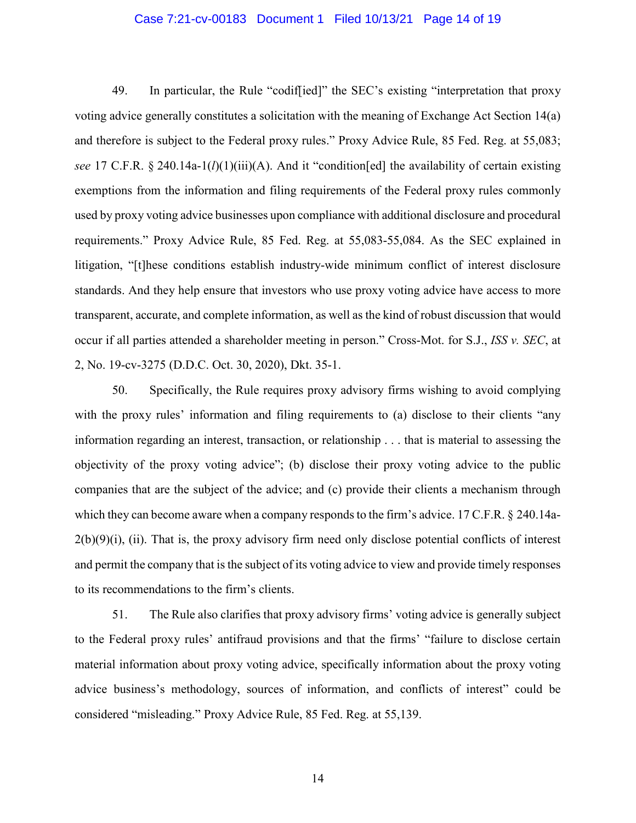#### Case 7:21-cv-00183 Document 1 Filed 10/13/21 Page 14 of 19

49. In particular, the Rule "codif[ied]" the SEC's existing "interpretation that proxy voting advice generally constitutes a solicitation with the meaning of Exchange Act Section 14(a) and therefore is subject to the Federal proxy rules." Proxy Advice Rule, 85 Fed. Reg. at 55,083; *see* 17 C.F.R. § 240.14a-1(*l*)(1)(iii)(A). And it "condition[ed] the availability of certain existing exemptions from the information and filing requirements of the Federal proxy rules commonly used by proxy voting advice businesses upon compliance with additional disclosure and procedural requirements." Proxy Advice Rule, 85 Fed. Reg. at 55,083-55,084. As the SEC explained in litigation, "[t]hese conditions establish industry-wide minimum conflict of interest disclosure standards. And they help ensure that investors who use proxy voting advice have access to more transparent, accurate, and complete information, as well as the kind of robust discussion that would occur if all parties attended a shareholder meeting in person." Cross-Mot. for S.J., *ISS v. SEC*, at 2, No. 19-cv-3275 (D.D.C. Oct. 30, 2020), Dkt. 35-1.

50. Specifically, the Rule requires proxy advisory firms wishing to avoid complying with the proxy rules' information and filing requirements to (a) disclose to their clients "any information regarding an interest, transaction, or relationship . . . that is material to assessing the objectivity of the proxy voting advice"; (b) disclose their proxy voting advice to the public companies that are the subject of the advice; and (c) provide their clients a mechanism through which they can become aware when a company responds to the firm's advice. 17 C.F.R. § 240.14a- $2(b)(9)(i)$ , (ii). That is, the proxy advisory firm need only disclose potential conflicts of interest and permit the company that is the subject of its voting advice to view and provide timely responses to its recommendations to the firm's clients.

51. The Rule also clarifies that proxy advisory firms' voting advice is generally subject to the Federal proxy rules' antifraud provisions and that the firms' "failure to disclose certain material information about proxy voting advice, specifically information about the proxy voting advice business's methodology, sources of information, and conflicts of interest" could be considered "misleading." Proxy Advice Rule, 85 Fed. Reg. at 55,139.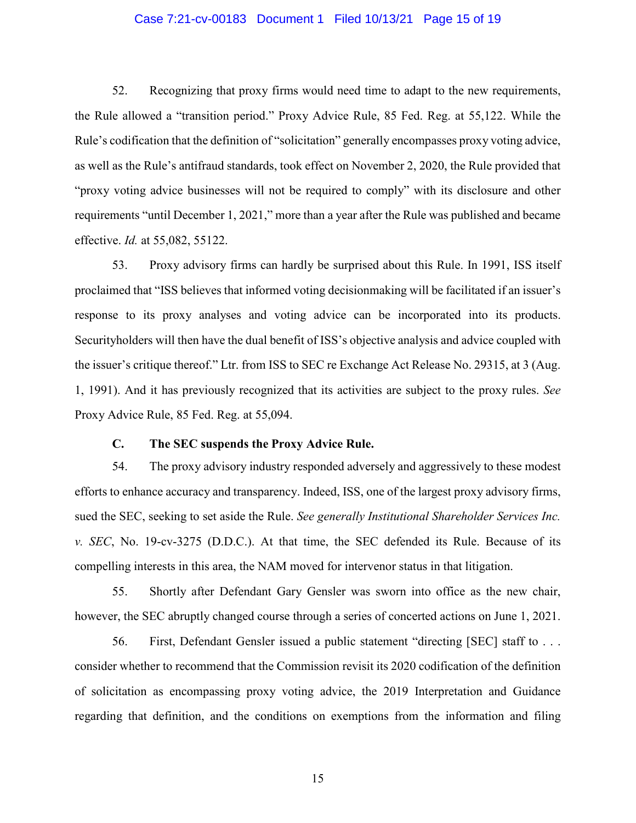### Case 7:21-cv-00183 Document 1 Filed 10/13/21 Page 15 of 19

52. Recognizing that proxy firms would need time to adapt to the new requirements, the Rule allowed a "transition period." Proxy Advice Rule, 85 Fed. Reg. at 55,122. While the Rule's codification that the definition of "solicitation" generally encompasses proxy voting advice, as well as the Rule's antifraud standards, took effect on November 2, 2020, the Rule provided that "proxy voting advice businesses will not be required to comply" with its disclosure and other requirements "until December 1, 2021," more than a year after the Rule was published and became effective. *Id.* at 55,082, 55122.

53. Proxy advisory firms can hardly be surprised about this Rule. In 1991, ISS itself proclaimed that "ISS believes that informed voting decisionmaking will be facilitated if an issuer's response to its proxy analyses and voting advice can be incorporated into its products. Securityholders will then have the dual benefit of ISS's objective analysis and advice coupled with the issuer's critique thereof." Ltr. from ISS to SEC re Exchange Act Release No. 29315, at 3 (Aug. 1, 1991). And it has previously recognized that its activities are subject to the proxy rules. *See*  Proxy Advice Rule, 85 Fed. Reg. at 55,094.

## **C. The SEC suspends the Proxy Advice Rule.**

54. The proxy advisory industry responded adversely and aggressively to these modest efforts to enhance accuracy and transparency. Indeed, ISS, one of the largest proxy advisory firms, sued the SEC, seeking to set aside the Rule. *See generally Institutional Shareholder Services Inc. v. SEC*, No. 19-cv-3275 (D.D.C.). At that time, the SEC defended its Rule. Because of its compelling interests in this area, the NAM moved for intervenor status in that litigation.

55. Shortly after Defendant Gary Gensler was sworn into office as the new chair, however, the SEC abruptly changed course through a series of concerted actions on June 1, 2021.

56. First, Defendant Gensler issued a public statement "directing [SEC] staff to . . . consider whether to recommend that the Commission revisit its 2020 codification of the definition of solicitation as encompassing proxy voting advice, the 2019 Interpretation and Guidance regarding that definition, and the conditions on exemptions from the information and filing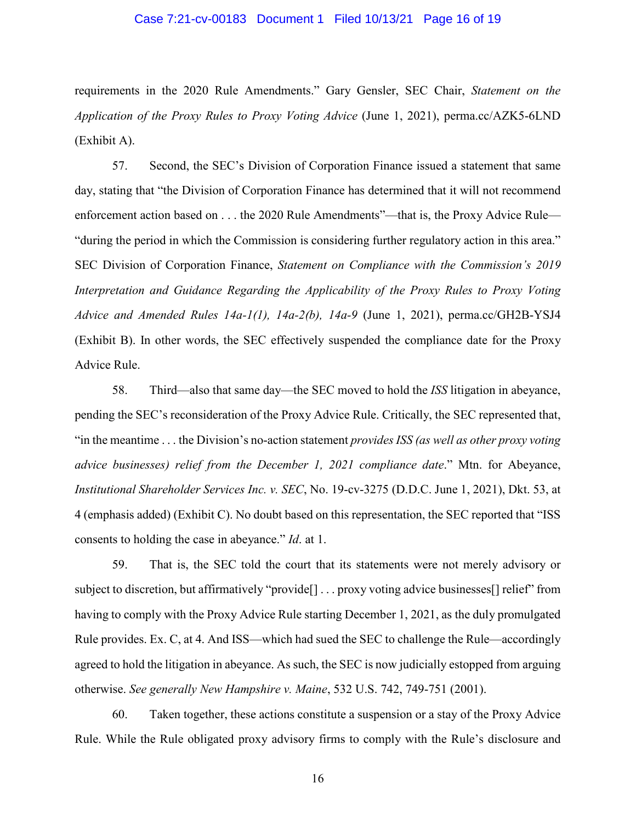### Case 7:21-cv-00183 Document 1 Filed 10/13/21 Page 16 of 19

requirements in the 2020 Rule Amendments." Gary Gensler, SEC Chair, *Statement on the Application of the Proxy Rules to Proxy Voting Advice* (June 1, 2021), perma.cc/AZK5-6LND (Exhibit A).

57. Second, the SEC's Division of Corporation Finance issued a statement that same day, stating that "the Division of Corporation Finance has determined that it will not recommend enforcement action based on . . . the 2020 Rule Amendments"—that is, the Proxy Advice Rule— "during the period in which the Commission is considering further regulatory action in this area." SEC Division of Corporation Finance, *Statement on Compliance with the Commission's 2019 Interpretation and Guidance Regarding the Applicability of the Proxy Rules to Proxy Voting Advice and Amended Rules 14a-1(1), 14a-2(b), 14a-9* (June 1, 2021), perma.cc/GH2B-YSJ4 (Exhibit B). In other words, the SEC effectively suspended the compliance date for the Proxy Advice Rule.

58. Third—also that same day—the SEC moved to hold the *ISS* litigation in abeyance, pending the SEC's reconsideration of the Proxy Advice Rule. Critically, the SEC represented that, "in the meantime . . . the Division's no-action statement *provides ISS (as well as other proxy voting advice businesses) relief from the December 1, 2021 compliance date*." Mtn. for Abeyance, *Institutional Shareholder Services Inc. v. SEC*, No. 19-cv-3275 (D.D.C. June 1, 2021), Dkt. 53, at 4 (emphasis added) (Exhibit C). No doubt based on this representation, the SEC reported that "ISS consents to holding the case in abeyance." *Id*. at 1.

59. That is, the SEC told the court that its statements were not merely advisory or subject to discretion, but affirmatively "provide<sup>[]</sup> . . . proxy voting advice businesses<sup>[]</sup> relief" from having to comply with the Proxy Advice Rule starting December 1, 2021, as the duly promulgated Rule provides. Ex. C, at 4. And ISS—which had sued the SEC to challenge the Rule—accordingly agreed to hold the litigation in abeyance. As such, the SEC is now judicially estopped from arguing otherwise. *See generally New Hampshire v. Maine*, 532 U.S. 742, 749-751 (2001).

60. Taken together, these actions constitute a suspension or a stay of the Proxy Advice Rule. While the Rule obligated proxy advisory firms to comply with the Rule's disclosure and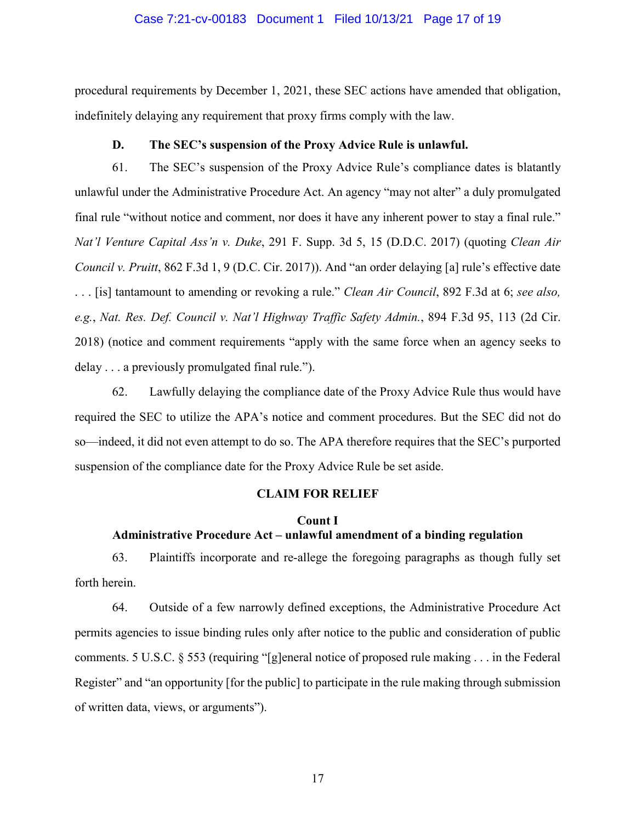#### Case 7:21-cv-00183 Document 1 Filed 10/13/21 Page 17 of 19

procedural requirements by December 1, 2021, these SEC actions have amended that obligation, indefinitely delaying any requirement that proxy firms comply with the law.

## **D. The SEC's suspension of the Proxy Advice Rule is unlawful.**

61. The SEC's suspension of the Proxy Advice Rule's compliance dates is blatantly unlawful under the Administrative Procedure Act. An agency "may not alter" a duly promulgated final rule "without notice and comment, nor does it have any inherent power to stay a final rule." *Nat'l Venture Capital Ass'n v. Duke*, 291 F. Supp. 3d 5, 15 (D.D.C. 2017) (quoting *Clean Air Council v. Pruitt*, 862 F.3d 1, 9 (D.C. Cir. 2017)). And "an order delaying [a] rule's effective date . . . [is] tantamount to amending or revoking a rule." *Clean Air Council*, 892 F.3d at 6; *see also, e.g.*, *Nat. Res. Def. Council v. Nat'l Highway Traffic Safety Admin.*, 894 F.3d 95, 113 (2d Cir. 2018) (notice and comment requirements "apply with the same force when an agency seeks to delay . . . a previously promulgated final rule.").

62. Lawfully delaying the compliance date of the Proxy Advice Rule thus would have required the SEC to utilize the APA's notice and comment procedures. But the SEC did not do so—indeed, it did not even attempt to do so. The APA therefore requires that the SEC's purported suspension of the compliance date for the Proxy Advice Rule be set aside.

### **CLAIM FOR RELIEF**

# **Count I Administrative Procedure Act – unlawful amendment of a binding regulation**

63. Plaintiffs incorporate and re-allege the foregoing paragraphs as though fully set forth herein.

64. Outside of a few narrowly defined exceptions, the Administrative Procedure Act permits agencies to issue binding rules only after notice to the public and consideration of public comments. 5 U.S.C. § 553 (requiring "[g]eneral notice of proposed rule making . . . in the Federal Register" and "an opportunity [for the public] to participate in the rule making through submission of written data, views, or arguments").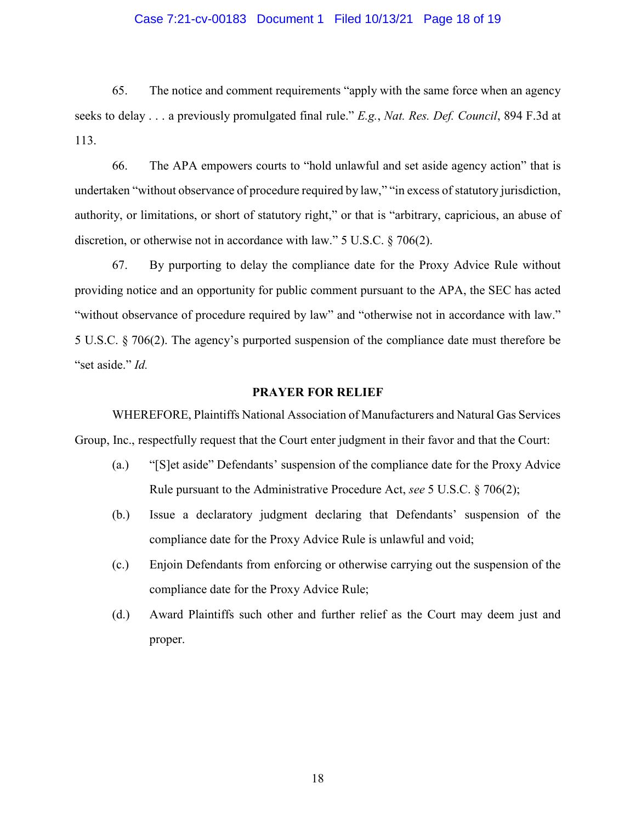### Case 7:21-cv-00183 Document 1 Filed 10/13/21 Page 18 of 19

65. The notice and comment requirements "apply with the same force when an agency seeks to delay . . . a previously promulgated final rule." *E.g.*, *Nat. Res. Def. Council*, 894 F.3d at 113.

66. The APA empowers courts to "hold unlawful and set aside agency action" that is undertaken "without observance of procedure required by law," "in excess of statutory jurisdiction, authority, or limitations, or short of statutory right," or that is "arbitrary, capricious, an abuse of discretion, or otherwise not in accordance with law." 5 U.S.C. § 706(2).

67. By purporting to delay the compliance date for the Proxy Advice Rule without providing notice and an opportunity for public comment pursuant to the APA, the SEC has acted "without observance of procedure required by law" and "otherwise not in accordance with law." 5 U.S.C. § 706(2). The agency's purported suspension of the compliance date must therefore be "set aside." *Id.*

#### **PRAYER FOR RELIEF**

WHEREFORE, Plaintiffs National Association of Manufacturers and Natural Gas Services Group, Inc., respectfully request that the Court enter judgment in their favor and that the Court:

- (a.) "[S]et aside" Defendants' suspension of the compliance date for the Proxy Advice Rule pursuant to the Administrative Procedure Act, *see* 5 U.S.C. § 706(2);
- (b.) Issue a declaratory judgment declaring that Defendants' suspension of the compliance date for the Proxy Advice Rule is unlawful and void;
- (c.) Enjoin Defendants from enforcing or otherwise carrying out the suspension of the compliance date for the Proxy Advice Rule;
- (d.) Award Plaintiffs such other and further relief as the Court may deem just and proper.